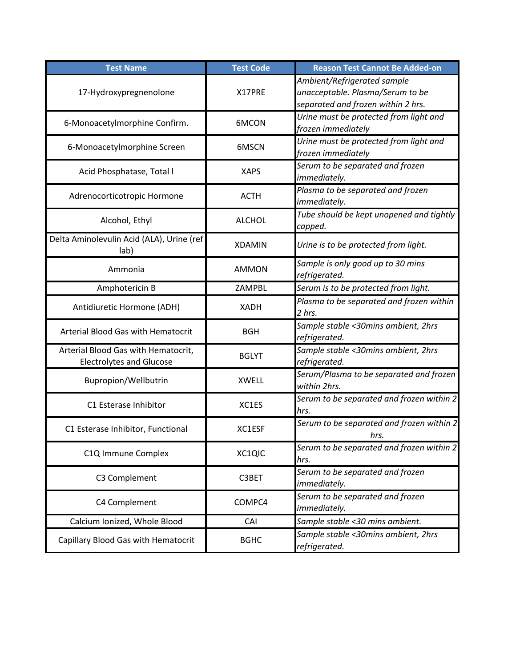| <b>Test Name</b>                                                       | <b>Test Code</b> | <b>Reason Test Cannot Be Added-on</b>                                                                 |
|------------------------------------------------------------------------|------------------|-------------------------------------------------------------------------------------------------------|
| 17-Hydroxypregnenolone                                                 | X17PRE           | Ambient/Refrigerated sample<br>unacceptable. Plasma/Serum to be<br>separated and frozen within 2 hrs. |
| 6-Monoacetylmorphine Confirm.                                          | 6MCON            | Urine must be protected from light and<br>frozen immediately                                          |
| 6-Monoacetylmorphine Screen                                            | 6MSCN            | Urine must be protected from light and<br>frozen immediately                                          |
| Acid Phosphatase, Total I                                              | <b>XAPS</b>      | Serum to be separated and frozen<br>immediately.                                                      |
| Adrenocorticotropic Hormone                                            | <b>ACTH</b>      | Plasma to be separated and frozen<br>immediately.                                                     |
| Alcohol, Ethyl                                                         | <b>ALCHOL</b>    | Tube should be kept unopened and tightly<br>capped.                                                   |
| Delta Aminolevulin Acid (ALA), Urine (ref<br>lab)                      | <b>XDAMIN</b>    | Urine is to be protected from light.                                                                  |
| Ammonia                                                                | <b>AMMON</b>     | Sample is only good up to 30 mins<br>refrigerated.                                                    |
| Amphotericin B                                                         | ZAMPBL           | Serum is to be protected from light.                                                                  |
| Antidiuretic Hormone (ADH)                                             | <b>XADH</b>      | Plasma to be separated and frozen within<br>2 hrs.                                                    |
| Arterial Blood Gas with Hematocrit                                     | <b>BGH</b>       | Sample stable <30mins ambient, 2hrs<br>refrigerated.                                                  |
| Arterial Blood Gas with Hematocrit,<br><b>Electrolytes and Glucose</b> | <b>BGLYT</b>     | Sample stable <30mins ambient, 2hrs<br>refrigerated.                                                  |
| Bupropion/Wellbutrin                                                   | <b>XWELL</b>     | Serum/Plasma to be separated and frozen<br>within 2hrs.                                               |
| C1 Esterase Inhibitor                                                  | XC1ES            | Serum to be separated and frozen within 2<br>hrs.                                                     |
| C1 Esterase Inhibitor, Functional                                      | XC1ESF           | Serum to be separated and frozen within 2<br>hrs.                                                     |
| C1Q Immune Complex                                                     | XC1QIC           | Serum to be separated and frozen within 2<br>hrs.                                                     |
| C3 Complement                                                          | C3BET            | Serum to be separated and frozen<br>immediately.                                                      |
| C4 Complement                                                          | COMPC4           | Serum to be separated and frozen<br>immediately.                                                      |
| Calcium Ionized, Whole Blood                                           | CAI              | Sample stable <30 mins ambient.                                                                       |
| Capillary Blood Gas with Hematocrit                                    | <b>BGHC</b>      | Sample stable <30mins ambient, 2hrs<br>refrigerated.                                                  |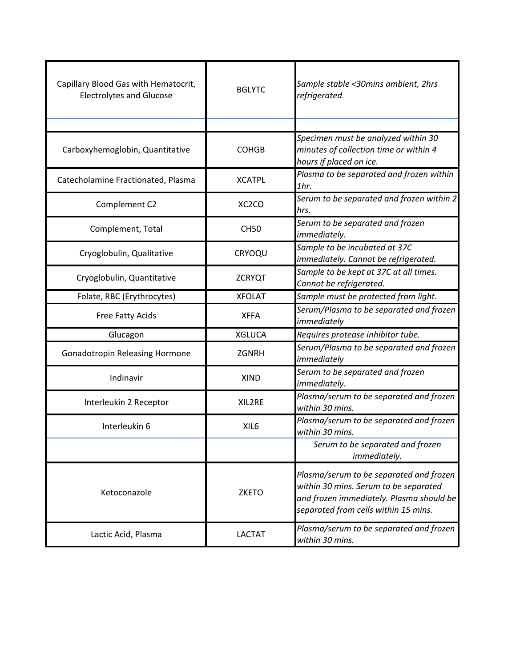| Capillary Blood Gas with Hematocrit,<br><b>Electrolytes and Glucose</b> | <b>BGLYTC</b>      | Sample stable <30mins ambient, 2hrs<br>refrigerated.                                                                                                                 |
|-------------------------------------------------------------------------|--------------------|----------------------------------------------------------------------------------------------------------------------------------------------------------------------|
|                                                                         |                    |                                                                                                                                                                      |
| Carboxyhemoglobin, Quantitative                                         | <b>COHGB</b>       | Specimen must be analyzed within 30<br>minutes of collection time or within 4<br>hours if placed on ice.                                                             |
| Catecholamine Fractionated, Plasma                                      | <b>XCATPL</b>      | Plasma to be separated and frozen within<br>1 <sub>hr.</sub>                                                                                                         |
| Complement C2                                                           | XC <sub>2</sub> CO | Serum to be separated and frozen within 2<br>hrs.                                                                                                                    |
| Complement, Total                                                       | <b>CH50</b>        | Serum to be separated and frozen<br>immediately.                                                                                                                     |
| Cryoglobulin, Qualitative                                               | CRYOQU             | Sample to be incubated at 37C<br>immediately. Cannot be refrigerated.                                                                                                |
| Cryoglobulin, Quantitative                                              | <b>ZCRYQT</b>      | Sample to be kept at 37C at all times.<br>Cannot be refrigerated.                                                                                                    |
| Folate, RBC (Erythrocytes)                                              | <b>XFOLAT</b>      | Sample must be protected from light.                                                                                                                                 |
| <b>Free Fatty Acids</b>                                                 | <b>XFFA</b>        | Serum/Plasma to be separated and frozen<br>immediately                                                                                                               |
| Glucagon                                                                | <b>XGLUCA</b>      | Requires protease inhibitor tube.                                                                                                                                    |
| <b>Gonadotropin Releasing Hormone</b>                                   | <b>ZGNRH</b>       | Serum/Plasma to be separated and frozen<br><i>immediately</i>                                                                                                        |
| Indinavir                                                               | <b>XIND</b>        | Serum to be separated and frozen<br>immediately.                                                                                                                     |
| Interleukin 2 Receptor                                                  | XIL2RE             | Plasma/serum to be separated and frozen<br>within 30 mins.                                                                                                           |
| Interleukin 6                                                           | XIL <sub>6</sub>   | Plasma/serum to be separated and frozen<br>within 30 mins.                                                                                                           |
|                                                                         |                    | Serum to be separated and frozen<br>immediately.                                                                                                                     |
| Ketoconazole                                                            | <b>ZKETO</b>       | Plasma/serum to be separated and frozen<br>within 30 mins. Serum to be separated<br>and frozen immediately. Plasma should be<br>separated from cells within 15 mins. |
| Lactic Acid, Plasma                                                     | <b>LACTAT</b>      | Plasma/serum to be separated and frozen<br>within 30 mins.                                                                                                           |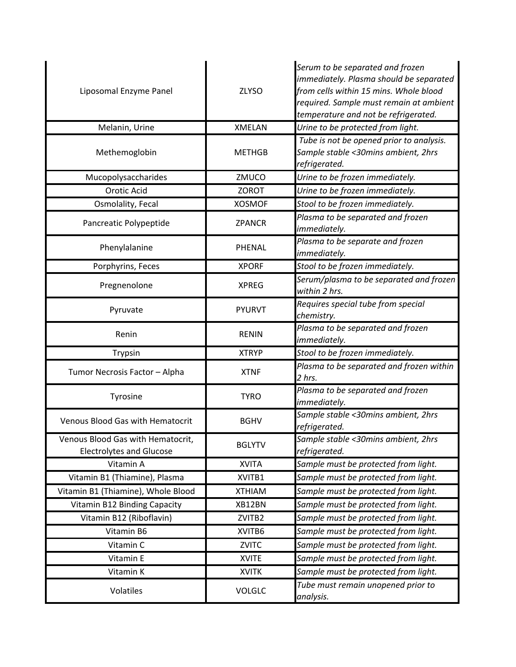| Liposomal Enzyme Panel                                               | <b>ZLYSO</b>  | Serum to be separated and frozen<br>immediately. Plasma should be separated<br>from cells within 15 mins. Whole blood<br>required. Sample must remain at ambient<br>temperature and not be refrigerated. |
|----------------------------------------------------------------------|---------------|----------------------------------------------------------------------------------------------------------------------------------------------------------------------------------------------------------|
| Melanin, Urine                                                       | <b>XMELAN</b> | Urine to be protected from light.                                                                                                                                                                        |
| Methemoglobin                                                        | <b>METHGB</b> | Tube is not be opened prior to analysis.<br>Sample stable <30mins ambient, 2hrs<br>refrigerated.                                                                                                         |
| Mucopolysaccharides                                                  | ZMUCO         | Urine to be frozen immediately.                                                                                                                                                                          |
| Orotic Acid                                                          | <b>ZOROT</b>  | Urine to be frozen immediately.                                                                                                                                                                          |
| Osmolality, Fecal                                                    | <b>XOSMOF</b> | Stool to be frozen immediately.                                                                                                                                                                          |
| Pancreatic Polypeptide                                               | <b>ZPANCR</b> | Plasma to be separated and frozen<br>immediately.                                                                                                                                                        |
| Phenylalanine                                                        | PHENAL        | Plasma to be separate and frozen<br>immediately.                                                                                                                                                         |
| Porphyrins, Feces                                                    | <b>XPORF</b>  | Stool to be frozen immediately.                                                                                                                                                                          |
| Pregnenolone                                                         | <b>XPREG</b>  | Serum/plasma to be separated and frozen<br>within 2 hrs.                                                                                                                                                 |
| Pyruvate                                                             | <b>PYURVT</b> | Requires special tube from special<br>chemistry.                                                                                                                                                         |
| Renin                                                                | <b>RENIN</b>  | Plasma to be separated and frozen<br>immediately.                                                                                                                                                        |
| Trypsin                                                              | <b>XTRYP</b>  | Stool to be frozen immediately.                                                                                                                                                                          |
| Tumor Necrosis Factor - Alpha                                        | <b>XTNF</b>   | Plasma to be separated and frozen within<br>2 hrs.                                                                                                                                                       |
| Tyrosine                                                             | <b>TYRO</b>   | Plasma to be separated and frozen<br>immediately.                                                                                                                                                        |
| <b>Venous Blood Gas with Hematocrit</b>                              | <b>BGHV</b>   | Sample stable < 30mins ambient, 2hrs<br>refrigerated.                                                                                                                                                    |
| Venous Blood Gas with Hematocrit,<br><b>Electrolytes and Glucose</b> | <b>BGLYTV</b> | Sample stable <30mins ambient, 2hrs<br>refrigerated.                                                                                                                                                     |
| Vitamin A                                                            | <b>XVITA</b>  | Sample must be protected from light.                                                                                                                                                                     |
| Vitamin B1 (Thiamine), Plasma                                        | XVITB1        | Sample must be protected from light.                                                                                                                                                                     |
| Vitamin B1 (Thiamine), Whole Blood                                   | <b>XTHIAM</b> | Sample must be protected from light.                                                                                                                                                                     |
| Vitamin B12 Binding Capacity                                         | XB12BN        | Sample must be protected from light.                                                                                                                                                                     |
| Vitamin B12 (Riboflavin)                                             | ZVITB2        | Sample must be protected from light.                                                                                                                                                                     |
| Vitamin B6                                                           | XVITB6        | Sample must be protected from light.                                                                                                                                                                     |
| Vitamin C                                                            | ZVITC         | Sample must be protected from light.                                                                                                                                                                     |
| Vitamin E                                                            | <b>XVITE</b>  | Sample must be protected from light.                                                                                                                                                                     |
| Vitamin K                                                            | <b>XVITK</b>  | Sample must be protected from light.                                                                                                                                                                     |
| Volatiles                                                            | <b>VOLGLC</b> | Tube must remain unopened prior to<br>analysis.                                                                                                                                                          |